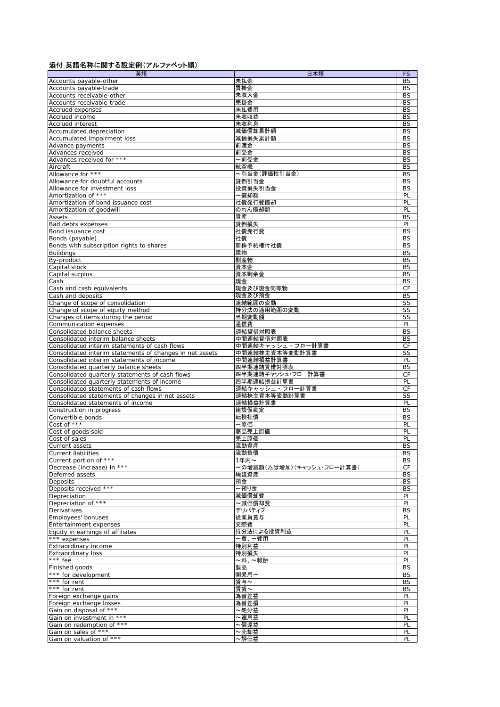## 添付\_英語名称に関する設定例(アルファベット順)

| 英語                                                       | 日本語                               | <b>FS</b>       |
|----------------------------------------------------------|-----------------------------------|-----------------|
| Accounts payable-other                                   | 未払金                               | BS              |
| Accounts payable-trade                                   | 買掛金                               | BS              |
| Accounts receivable-other                                | 未収入金                              | BS              |
| Accounts receivable-trade                                | 売掛金                               | <b>BS</b>       |
| Accrued expenses                                         | 未払費用                              | <b>BS</b>       |
| Accrued income                                           | 未収収益                              | <b>BS</b>       |
| <b>Accrued interest</b>                                  | 未収利息                              | <b>BS</b>       |
| Accumulated depreciation                                 | 減価償却累計額                           | <b>BS</b>       |
| Accumulated impairment loss<br>Advance payments          | 減損損失累計額<br>前渡金                    | <b>BS</b><br>BS |
| Advances received                                        | 前受金                               | <b>BS</b>       |
| Advances received for ***                                | ~前受金                              | <b>BS</b>       |
| Aircraft                                                 | 航空機                               | BS              |
| Allowance for ***                                        | ~引当金(評価性引当金)                      | <b>BS</b>       |
| Allowance for doubtful accounts                          | 貸倒引当金                             | BS              |
| Allowance for investment loss                            | 投資損失引当金                           | <b>BS</b>       |
| Amortization of ***                                      | ~償却額                              | PL              |
| Amortization of bond issuance cost                       | 社債発行費償却                           | PL              |
| Amortization of goodwill                                 | のれん償却額                            | PL              |
| Assets                                                   | 資産                                | BS              |
| Bad debts expenses                                       | 貸倒損失                              | PL              |
| Bond issuance cost                                       | 社債発行費                             | <b>BS</b>       |
| Bonds (payable)                                          | 社債                                | <b>BS</b>       |
| Bonds with subscription rights to shares                 | 新株予約権付社債                          | BS              |
| Buildings                                                | 建物                                | <b>BS</b>       |
| By-product                                               | 副産物                               | <b>BS</b>       |
| Capital stock                                            | 資本金                               | BS              |
| Capital surplus                                          | 資本剰余金                             | <b>BS</b>       |
| Cash                                                     | 現金                                | <b>BS</b>       |
| Cash and cash equivalents                                | 現金及び現金同等物                         | CF              |
| Cash and deposits<br>Change of scope of consolidation    | 現金及び預金<br>連結範囲の変動                 | <b>BS</b>       |
| Change of scope of equity method                         | 持分法の適用範囲の変動                       | SS<br>SS        |
| Changes of items during the period                       | 当期変動額                             | SS              |
| Communication expenses                                   | 通信費                               | PL              |
| Consolidated balance sheets                              | 連結貸借対照表                           | <b>BS</b>       |
| Consolidated interim balance sheets                      | 中間連結貸借対照表                         | <b>BS</b>       |
| Consolidated interim statements of cash flows            | 中間連結キャッシュ・フロー計算書                  | CF              |
| Consolidated interim statements of changes in net assets | 中間連結株主資本等変動計算書                    | SS              |
| Consolidated interim statements of income                | 中間連結損益計算書                         | PL              |
| Consolidated quarterly balance sheets                    | 四半期連結貸借対照表                        | <b>BS</b>       |
| Consolidated quarterly statements of cash flows          | 四半期連結キャッシュ・フロー計算書                 | <b>CF</b>       |
| Consolidated quarterly statements of income              | 四半期連結損益計算書                        | PL              |
| Consolidated statements of cash flows                    | 連結キャッシュ・フロー計算書                    | CF              |
| Consolidated statements of changes in net assets         | 連結株主資本等変動計算書                      | SS              |
| Consolidated statements of income                        | 連結損益計算書                           | PL              |
| Construction in progress                                 | 建設仮勘定                             | <b>BS</b>       |
| Convertible bonds                                        | 転換社債                              | <b>BS</b>       |
| Cost of ***                                              | ~原価                               | PL              |
| Cost of goods sold                                       | 商品売上原価                            | PL              |
| Cost of sales                                            | 売上原価                              | PL              |
| Current assets                                           | 流動資産                              | <b>BS</b>       |
| <b>Current liabilities</b><br>Current portion of ***     | 流動負債                              | BS              |
|                                                          | 1年内~                              | BS<br>CF        |
| Decrease (increase) in ***<br>Deferred assets            | ~の増減額(△は増加)(キャッシュ・フロー計算書)<br>繰延資産 | BS              |
| Deposits                                                 | 預金                                | BS              |
| Deposits received ***                                    | ~預り金                              | <b>BS</b>       |
| Depreciation                                             | 減価償却費                             | PL              |
| Depreciation of ***                                      | ~減価償却費                            | PL              |
| Derivatives                                              | デリバティブ                            | <b>BS</b>       |
| Employees' bonuses                                       | 従業員賞与                             | PL              |
| Entertainment expenses                                   | 交際費                               | PL              |
| Equity in earnings of affiliates                         | 持分法による投資利益                        | PL              |
| *** expenses                                             | ~費、~費用                            | PL              |
| Extraordinary income                                     | 特別利益                              | PL              |
| <b>Extraordinary loss</b>                                | 特別損失                              | PL              |
| *** fee                                                  | ~料、~報酬                            | PL              |
| Finished goods                                           | 製品                                | BS              |
| *** for development                                      | 開発用~                              | <b>BS</b>       |
| *** for rent<br>*** for rent                             | 貸与~<br>賃貸~                        | BS              |
| Foreign exchange gains                                   | 為替差益                              | BS<br>PL        |
| Foreign exchange losses                                  | 為替差損                              | PL              |
| Gain on disposal of ***                                  | ~処分益                              | PL              |
| Gain on investment in ***                                | ~運用益                              | PL              |
| Gain on redemption of ***                                | ~償還益                              | PL              |
| Gain on sales of ***                                     | ~売却益                              | PL              |
| Gain on valuation of ***                                 | ~評価益                              | PL              |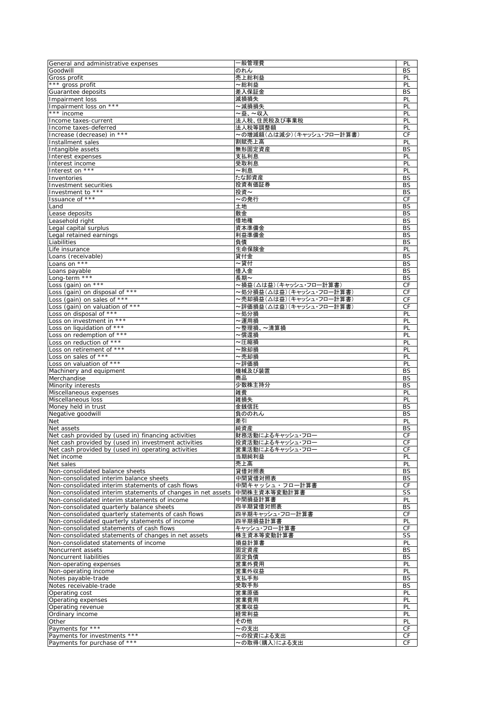| General and administrative expenses                          | 一般管理費                     | PL        |
|--------------------------------------------------------------|---------------------------|-----------|
| Goodwill                                                     | のれん                       | <b>BS</b> |
| Gross profit                                                 | 売上総利益                     | PL        |
| *** gross profit                                             | ~総利益                      | PL        |
| Guarantee deposits                                           | 差入保証金                     | BS        |
| Impairment loss                                              | 減損損失                      | PL        |
|                                                              | ~減損損失                     | PL        |
| Impairment loss on ***                                       |                           |           |
| *** income                                                   | ~益、~収入                    | PL        |
| Income taxes-current                                         | 法人税、住民税及び事業税              | PL        |
| Income taxes-deferred                                        | 法人税等調整額                   | PL        |
| Increase (decrease) in ***                                   | ~の増減額(△は減少)(キャッシュ・フロー計算書) | СF        |
| Installment sales                                            | 割賦売上高                     | PL        |
| Intangible assets                                            | 無形固定資産                    | <b>BS</b> |
| Interest expenses                                            | 支払利息                      | PL        |
| Interest income                                              | 受取利息                      | PL        |
| Interest on ***                                              | ~利息                       | PL        |
| Inventories                                                  | たな卸資産                     | <b>BS</b> |
| Investment securities                                        | 投資有価証券                    | <b>BS</b> |
| Investment to ***                                            | 投資~                       | BS        |
| Issuance of ***                                              | ~の発行                      | <b>CF</b> |
| Land                                                         | 土地                        | <b>BS</b> |
|                                                              | 敷金                        |           |
| Lease deposits                                               |                           | BS        |
| Leasehold right                                              | 借地権                       | <b>BS</b> |
| Legal capital surplus                                        | 資本準備金                     | <b>BS</b> |
| Legal retained earnings                                      | 利益準備金                     | BS        |
| Liabilities                                                  | 負債                        | <b>BS</b> |
| Life insurance                                               | 生命保険金                     | PL        |
| Loans (receivable)                                           | 貸付金                       | BS        |
| Loans on ***                                                 | ~貸付                       | <b>BS</b> |
| Loans payable                                                | 借入金                       | BS        |
| Long-term ***                                                | 長期~                       | <b>BS</b> |
| Loss (gain) on ***                                           | ~損益(△は益)(キャッシュ・フロー計算書)    | CF        |
| Loss (gain) on disposal of ***                               | 〜処分損益(△は益)(キャッシュ・フロー計算書)  | CF        |
| Loss (gain) on sales of ***                                  | ~売却損益(△は益)(キャッシュ・フロー計算書)  | CF        |
| Loss (gain) on valuation of ***                              | ~評価損益(△は益)(キャッシュ・フロー計算書)  | CF        |
| Loss on disposal of ***                                      | ~処分損                      | PL        |
|                                                              | ~運用損                      |           |
| Loss on investment in ***                                    |                           | PL        |
| Loss on liquidation of ***                                   | ~整理損、~清算損                 | PL        |
| Loss on redemption of ***                                    | ~償還損                      | PL        |
| Loss on reduction of ***                                     | ~圧縮損                      | PL        |
| Loss on retirement of ***                                    | ~除却損                      | PL        |
| Loss on sales of ***                                         | ~売却損                      | PL        |
| Loss on valuation of ***                                     | ~評価損                      | PL        |
| Machinery and equipment                                      | 機械及び装置                    | BS        |
| Merchandise                                                  | 商品                        | <b>BS</b> |
| Minority interests                                           | 少数株主持分                    | <b>BS</b> |
| Miscellaneous expenses                                       | 雑費                        | PL        |
| Miscellaneous loss                                           | 雑損失                       | PL        |
| Money held in trust                                          | 金銭信託                      | BS        |
| Negative goodwill                                            | 負ののれん                     | BS        |
| Net                                                          | 差引                        | PL        |
| Net assets                                                   | 純資産                       | <b>BS</b> |
|                                                              | 財務活動によるキャッシュ・フロ           | CF        |
| Net cash provided by (used in) financing activities          |                           |           |
| Net cash provided by (used in) investment activities         | 投資活動によるキャッシュ・フロー          | СF        |
| Net cash provided by (used in) operating activities          | 営業活動によるキャッシュ・フロー          | CF        |
| Net income                                                   | 当期純利益                     | PL        |
| Net sales                                                    | 売上高                       | PL        |
| Non-consolidated balance sheets                              | 貸借対照表                     | BS        |
| Non-consolidated interim balance sheets                      | 中間貸借対照表                   | BS        |
| Non-consolidated interim statements of cash flows            | 中間キャッシュ・フロー計算書            | СF        |
| Non-consolidated interim statements of changes in net assets | 中間株主資本等変動計算書              | SS        |
| Non-consolidated interim statements of income                | 中間損益計算書                   | PL        |
| Non-consolidated quarterly balance sheets                    | 四半期貸借対照表                  | BS        |
| Non-consolidated quarterly statements of cash flows          | 四半期キャッシュ・フロー計算書           | CF        |
| Non-consolidated quarterly statements of income              | 四半期損益計算書                  | PL        |
| Non-consolidated statements of cash flows                    | キャッシュ・フロー計算書              | СF        |
| Non-consolidated statements of changes in net assets         | 株主資本等変動計算書                | SS        |
| Non-consolidated statements of income                        | 損益計算書                     | PL        |
| Noncurrent assets                                            | 固定資産                      | BS        |
| Noncurrent liabilities                                       | 固定負債                      | BS        |
| Non-operating expenses                                       | 営業外費用                     | PL        |
| Non-operating income                                         | 営業外収益                     | PL        |
| Notes payable-trade                                          | 支払手形                      | BS        |
| Notes receivable-trade                                       | 受取手形                      | BS        |
|                                                              | 営業原価                      |           |
| Operating cost                                               |                           | PL        |
| Operating expenses                                           | 営業費用                      | PL        |
| Operating revenue                                            | 営業収益                      | PL        |
| Ordinary income                                              | 経常利益                      | PL        |
| Other                                                        | その他                       | PL        |
| Payments for ***                                             | ~の支出                      | СF        |
| Payments for investments ***                                 | ~の投資による支出                 | CF        |
| Payments for purchase of ***                                 | ~の取得(購入)による支出             | СF        |